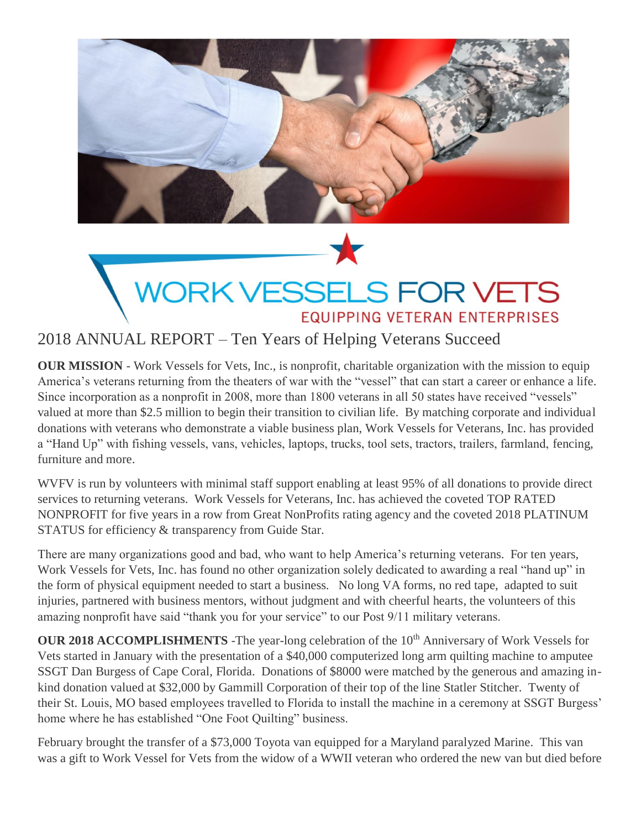

# WORK VESSELS FOR VETS **EQUIPPING VETERAN ENTERPRISES**

## 2018 ANNUAL REPORT – Ten Years of Helping Veterans Succeed

**OUR MISSION** - Work Vessels for Vets, Inc., is nonprofit, charitable organization with the mission to equip America's veterans returning from the theaters of war with the "vessel" that can start a career or enhance a life. Since incorporation as a nonprofit in 2008, more than 1800 veterans in all 50 states have received "vessels" valued at more than \$2.5 million to begin their transition to civilian life. By matching corporate and individual donations with veterans who demonstrate a viable business plan, Work Vessels for Veterans, Inc. has provided a "Hand Up" with fishing vessels, vans, vehicles, laptops, trucks, tool sets, tractors, trailers, farmland, fencing, furniture and more.

WVFV is run by volunteers with minimal staff support enabling at least 95% of all donations to provide direct services to returning veterans. Work Vessels for Veterans, Inc. has achieved the coveted TOP RATED NONPROFIT for five years in a row from Great NonProfits rating agency and the coveted 2018 PLATINUM STATUS for efficiency & transparency from Guide Star.

There are many organizations good and bad, who want to help America's returning veterans. For ten years, Work Vessels for Vets, Inc. has found no other organization solely dedicated to awarding a real "hand up" in the form of physical equipment needed to start a business. No long VA forms, no red tape, adapted to suit injuries, partnered with business mentors, without judgment and with cheerful hearts, the volunteers of this amazing nonprofit have said "thank you for your service" to our Post 9/11 military veterans.

**OUR 2018 ACCOMPLISHMENTS** -The year-long celebration of the 10<sup>th</sup> Anniversary of Work Vessels for Vets started in January with the presentation of a \$40,000 computerized long arm quilting machine to amputee SSGT Dan Burgess of Cape Coral, Florida. Donations of \$8000 were matched by the generous and amazing inkind donation valued at \$32,000 by Gammill Corporation of their top of the line Statler Stitcher. Twenty of their St. Louis, MO based employees travelled to Florida to install the machine in a ceremony at SSGT Burgess' home where he has established "One Foot Quilting" business.

February brought the transfer of a \$73,000 Toyota van equipped for a Maryland paralyzed Marine. This van was a gift to Work Vessel for Vets from the widow of a WWII veteran who ordered the new van but died before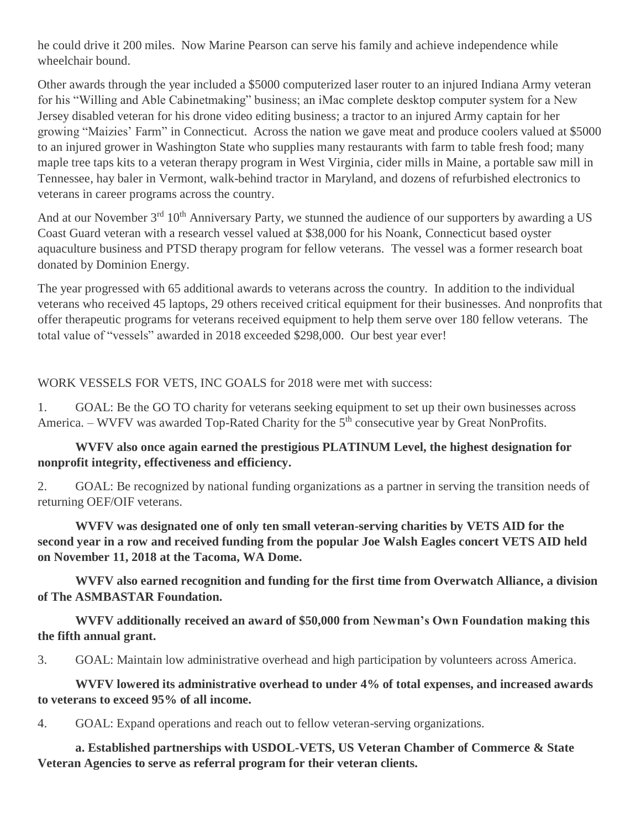he could drive it 200 miles. Now Marine Pearson can serve his family and achieve independence while wheelchair bound.

Other awards through the year included a \$5000 computerized laser router to an injured Indiana Army veteran for his "Willing and Able Cabinetmaking" business; an iMac complete desktop computer system for a New Jersey disabled veteran for his drone video editing business; a tractor to an injured Army captain for her growing "Maizies' Farm" in Connecticut. Across the nation we gave meat and produce coolers valued at \$5000 to an injured grower in Washington State who supplies many restaurants with farm to table fresh food; many maple tree taps kits to a veteran therapy program in West Virginia, cider mills in Maine, a portable saw mill in Tennessee, hay baler in Vermont, walk-behind tractor in Maryland, and dozens of refurbished electronics to veterans in career programs across the country.

And at our November 3<sup>rd</sup> 10<sup>th</sup> Anniversary Party, we stunned the audience of our supporters by awarding a US Coast Guard veteran with a research vessel valued at \$38,000 for his Noank, Connecticut based oyster aquaculture business and PTSD therapy program for fellow veterans. The vessel was a former research boat donated by Dominion Energy.

The year progressed with 65 additional awards to veterans across the country. In addition to the individual veterans who received 45 laptops, 29 others received critical equipment for their businesses. And nonprofits that offer therapeutic programs for veterans received equipment to help them serve over 180 fellow veterans. The total value of "vessels" awarded in 2018 exceeded \$298,000. Our best year ever!

### WORK VESSELS FOR VETS, INC GOALS for 2018 were met with success:

1. GOAL: Be the GO TO charity for veterans seeking equipment to set up their own businesses across America. – WVFV was awarded Top-Rated Charity for the 5<sup>th</sup> consecutive year by Great NonProfits.

### **WVFV also once again earned the prestigious PLATINUM Level, the highest designation for nonprofit integrity, effectiveness and efficiency.**

2. GOAL: Be recognized by national funding organizations as a partner in serving the transition needs of returning OEF/OIF veterans.

**WVFV was designated one of only ten small veteran-serving charities by VETS AID for the second year in a row and received funding from the popular Joe Walsh Eagles concert VETS AID held on November 11, 2018 at the Tacoma, WA Dome.**

**WVFV also earned recognition and funding for the first time from Overwatch Alliance, a division of The ASMBASTAR Foundation.**

**WVFV additionally received an award of \$50,000 from Newman's Own Foundation making this the fifth annual grant.**

3. GOAL: Maintain low administrative overhead and high participation by volunteers across America.

**WVFV lowered its administrative overhead to under 4% of total expenses, and increased awards to veterans to exceed 95% of all income.** 

4. GOAL: Expand operations and reach out to fellow veteran-serving organizations.

**a. Established partnerships with USDOL-VETS, US Veteran Chamber of Commerce & State Veteran Agencies to serve as referral program for their veteran clients.**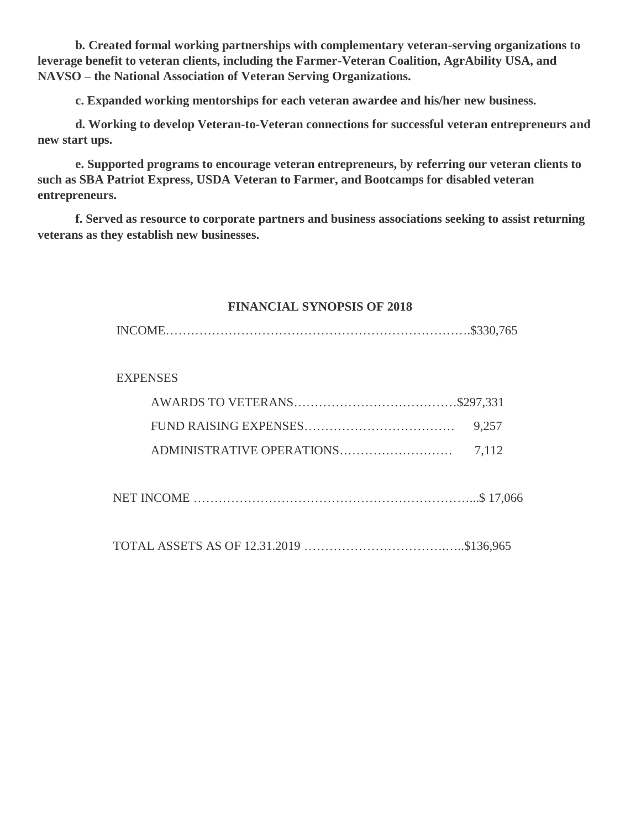**b. Created formal working partnerships with complementary veteran-serving organizations to leverage benefit to veteran clients, including the Farmer-Veteran Coalition, AgrAbility USA, and NAVSO – the National Association of Veteran Serving Organizations.**

**c. Expanded working mentorships for each veteran awardee and his/her new business.**

**d. Working to develop Veteran-to-Veteran connections for successful veteran entrepreneurs and new start ups.** 

**e. Supported programs to encourage veteran entrepreneurs, by referring our veteran clients to such as SBA Patriot Express, USDA Veteran to Farmer, and Bootcamps for disabled veteran entrepreneurs.** 

**f. Served as resource to corporate partners and business associations seeking to assist returning veterans as they establish new businesses.** 

### **FINANCIAL SYNOPSIS OF 2018**

|--|--|

### **EXPENSES**

NET INCOME …………………………………………………………...\$ 17,066

TOTAL ASSETS AS OF 12.31.2019 …………………………….…..\$136,965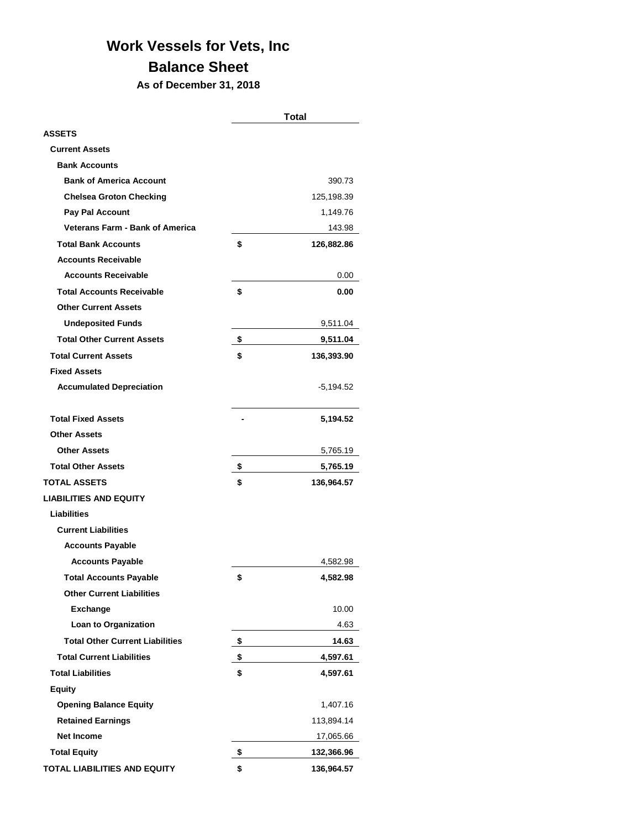## **Work Vessels for Vets, Inc**

## **Balance Sheet**

**As of December 31, 2018**

|                                        | <b>Total</b>     |
|----------------------------------------|------------------|
| <b>ASSETS</b>                          |                  |
| <b>Current Assets</b>                  |                  |
| <b>Bank Accounts</b>                   |                  |
| <b>Bank of America Account</b>         | 390.73           |
| <b>Chelsea Groton Checking</b>         | 125,198.39       |
| Pay Pal Account                        | 1,149.76         |
| <b>Veterans Farm - Bank of America</b> | 143.98           |
| <b>Total Bank Accounts</b>             | \$<br>126,882.86 |
| <b>Accounts Receivable</b>             |                  |
| <b>Accounts Receivable</b>             | 0.00             |
| <b>Total Accounts Receivable</b>       | \$<br>0.00       |
| <b>Other Current Assets</b>            |                  |
| <b>Undeposited Funds</b>               | 9,511.04         |
| <b>Total Other Current Assets</b>      | \$<br>9,511.04   |
| <b>Total Current Assets</b>            | \$<br>136,393.90 |
| <b>Fixed Assets</b>                    |                  |
| <b>Accumulated Depreciation</b>        | $-5,194.52$      |
|                                        |                  |
| <b>Total Fixed Assets</b>              | 5,194.52         |
| <b>Other Assets</b>                    |                  |
| <b>Other Assets</b>                    | 5,765.19         |
| <b>Total Other Assets</b>              | \$<br>5,765.19   |
| <b>TOTAL ASSETS</b>                    | \$<br>136,964.57 |
| <b>LIABILITIES AND EQUITY</b>          |                  |
| <b>Liabilities</b>                     |                  |
| <b>Current Liabilities</b>             |                  |
| <b>Accounts Payable</b>                |                  |
| <b>Accounts Payable</b>                | 4,582.98         |
| <b>Total Accounts Payable</b>          | \$<br>4,582.98   |
| <b>Other Current Liabilities</b>       |                  |
| <b>Exchange</b>                        | 10.00            |
| Loan to Organization                   | 4.63             |
| <b>Total Other Current Liabilities</b> | \$<br>14.63      |
| <b>Total Current Liabilities</b>       | \$<br>4,597.61   |
| <b>Total Liabilities</b>               | \$<br>4,597.61   |
| <b>Equity</b>                          |                  |
| <b>Opening Balance Equity</b>          | 1,407.16         |
| <b>Retained Earnings</b>               | 113,894.14       |
| <b>Net Income</b>                      | 17,065.66        |
| <b>Total Equity</b>                    | \$<br>132,366.96 |
| TOTAL LIABILITIES AND EQUITY           | \$<br>136,964.57 |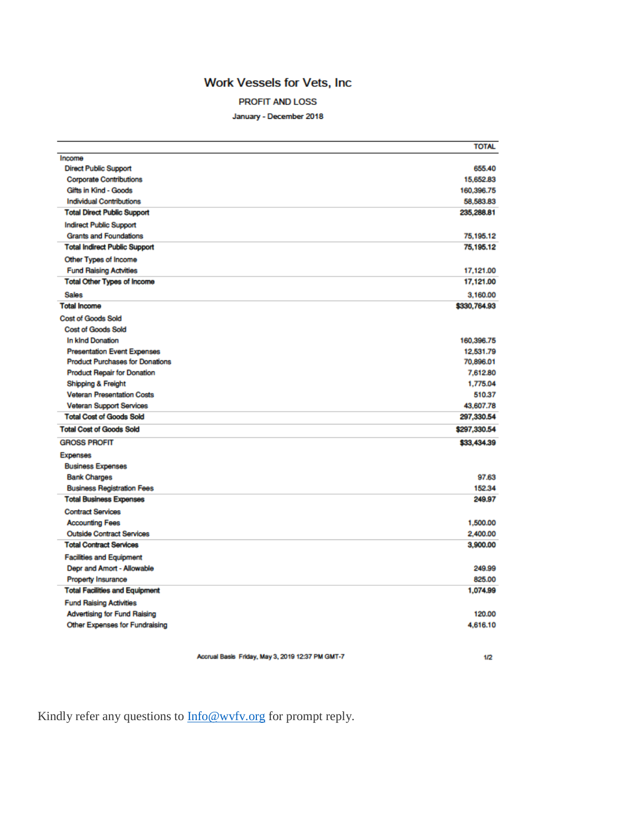### Work Vessels for Vets, Inc

#### PROFIT AND LOSS

January - December 2018

|                                        | <b>TOTAL</b> |
|----------------------------------------|--------------|
| Income                                 |              |
| <b>Direct Public Support</b>           | 655.40       |
| <b>Corporate Contributions</b>         | 15,652.83    |
| Gifts in Kind - Goods                  | 160,396.75   |
| <b>Individual Contributions</b>        | 58,583.83    |
| <b>Total Direct Public Support</b>     | 235,288.81   |
| <b>Indirect Public Support</b>         |              |
| <b>Grants and Foundations</b>          | 75,195.12    |
| <b>Total Indirect Public Support</b>   | 75,195.12    |
| Other Types of Income                  |              |
| <b>Fund Raising Actvities</b>          | 17,121.00    |
| <b>Total Other Types of Income</b>     | 17,121.00    |
| <b>Sales</b>                           | 3,160.00     |
| <b>Total Income</b>                    | \$330,764.93 |
| <b>Cost of Goods Sold</b>              |              |
| <b>Cost of Goods Sold</b>              |              |
| In kind Donation                       | 160,396.75   |
| <b>Presentation Event Expenses</b>     | 12,531.79    |
| <b>Product Purchases for Donations</b> | 70,896.01    |
| <b>Product Repair for Donation</b>     | 7,612.80     |
| Shipping & Freight                     | 1,775.04     |
| <b>Veteran Presentation Costs</b>      | 510.37       |
| <b>Veteran Support Services</b>        | 43,607.78    |
| <b>Total Cost of Goods Sold</b>        | 297,330.54   |
| <b>Total Cost of Goods Sold</b>        | \$297,330.54 |
| <b>GROSS PROFIT</b>                    | \$33,434.39  |
| <b>Expenses</b>                        |              |
| <b>Business Expenses</b>               |              |
| <b>Bank Charges</b>                    | 97.63        |
| <b>Business Registration Fees</b>      | 152.34       |
| <b>Total Business Expenses</b>         | 249.97       |
| <b>Contract Services</b>               |              |
| <b>Accounting Fees</b>                 | 1,500.00     |
| <b>Outside Contract Services</b>       | 2,400.00     |
| <b>Total Contract Services</b>         | 3,900.00     |
| <b>Facilities and Equipment</b>        |              |
| Depr and Amort - Allowable             | 249.99       |
| <b>Property Insurance</b>              | 825.00       |
| <b>Total Facilities and Equipment</b>  | 1,074.99     |
| <b>Fund Raising Activities</b>         |              |
| <b>Advertising for Fund Raising</b>    | 120.00       |
| <b>Other Expenses for Fundraising</b>  | 4,616.10     |
|                                        |              |

Accrual Basis Friday, May 3, 2019 12:37 PM GMT-7

 $1/2$ 

Kindly refer any questions to **Info@wvfv.org** for prompt reply.